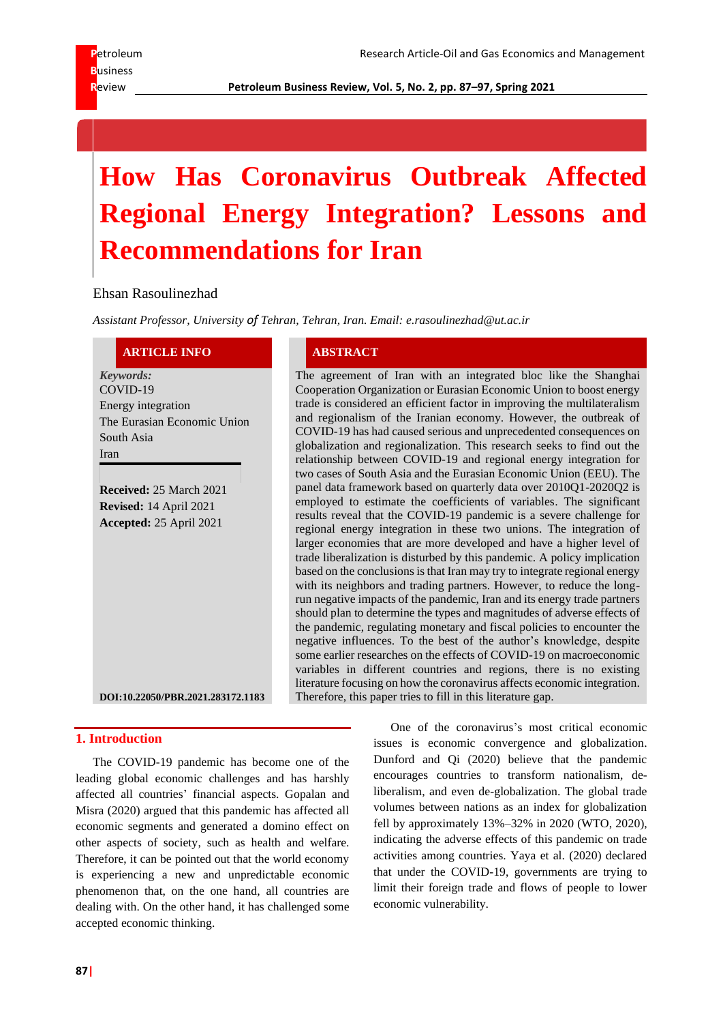**R**eview **Petroleum Business Review, Vol. 5, No. 2, pp. 87–97, Spring 2021**

# **How Has Coronavirus Outbreak Affected Regional Energy Integration? Lessons and Recommendations for Iran**

Ehsan Rasoulinezhad

*Assistant Professor, University of Tehran, Tehran, Iran. Email: e.rasoulinezhad@ut.ac.ir*

#### **ARTICLE INFO ABSTRACT**

*Keywords:* COVID-19 Energy integration The Eurasian Economic Union South Asia Iran

**Received:** 25 March 2021 **Revised:** 14 April 2021 **Accepted:** 25 April 2021

The agreement of Iran with an integrated bloc like the Shanghai Cooperation Organization or Eurasian Economic Union to boost energy trade is considered an efficient factor in improving the multilateralism and regionalism of the Iranian economy. However, the outbreak of COVID-19 has had caused serious and unprecedented consequences on globalization and regionalization. This research seeks to find out the relationship between COVID-19 and regional energy integration for two cases of South Asia and the Eurasian Economic Union (EEU). The panel data framework based on quarterly data over 2010Q1-2020Q2 is employed to estimate the coefficients of variables. The significant results reveal that the COVID-19 pandemic is a severe challenge for regional energy integration in these two unions. The integration of larger economies that are more developed and have a higher level of trade liberalization is disturbed by this pandemic. A policy implication based on the conclusions is that Iran may try to integrate regional energy with its neighbors and trading partners. However, to reduce the longrun negative impacts of the pandemic, Iran and its energy trade partners should plan to determine the types and magnitudes of adverse effects of the pandemic, regulating monetary and fiscal policies to encounter the negative influences. To the best of the author's knowledge, despite some earlier researches on the effects of COVID-19 on macroeconomic variables in different countries and regions, there is no existing literature focusing on how the coronavirus affects economic integration. Therefore, this paper tries to fill in this literature gap.

**DOI:10.22050/PBR.2021.283172.1183**

## **1. Introduction**

The COVID-19 pandemic has become one of the leading global economic challenges and has harshly affected all countries' financial aspects. Gopalan and Misra (2020) argued that this pandemic has affected all economic segments and generated a domino effect on other aspects of society, such as health and welfare. Therefore, it can be pointed out that the world economy is experiencing a new and unpredictable economic phenomenon that, on the one hand, all countries are dealing with. On the other hand, it has challenged some accepted economic thinking.

One of the coronavirus's most critical economic issues is economic convergence and globalization. Dunford and Qi (2020) believe that the pandemic encourages countries to transform nationalism, deliberalism, and even de-globalization. The global trade volumes between nations as an index for globalization fell by approximately 13%–32% in 2020 (WTO, 2020), indicating the adverse effects of this pandemic on trade activities among countries. Yaya et al. (2020) declared that under the COVID-19, governments are trying to limit their foreign trade and flows of people to lower economic vulnerability.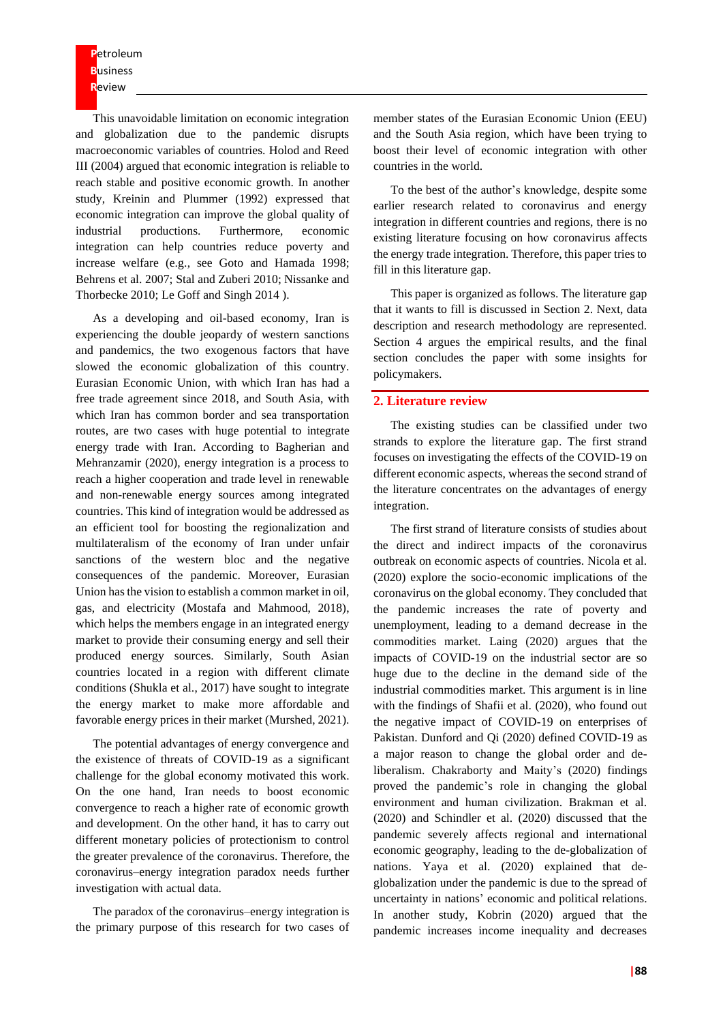**P**etroleum **B**usiness **R**eview

This unavoidable limitation on economic integration and globalization due to the pandemic disrupts macroeconomic variables of countries. Holod and Reed III (2004) argued that economic integration is reliable to reach stable and positive economic growth. In another study, Kreinin and Plummer (1992) expressed that economic integration can improve the global quality of industrial productions. Furthermore, economic integration can help countries reduce poverty and increase welfare (e.g., see Goto and Hamada 1998; Behrens et al. 2007; Stal and Zuberi 2010; Nissanke and Thorbecke 2010; Le Goff and Singh 2014 ).

As a developing and oil-based economy, Iran is experiencing the double jeopardy of western sanctions and pandemics, the two exogenous factors that have slowed the economic globalization of this country. Eurasian Economic Union, with which Iran has had a free trade agreement since 2018, and South Asia, with which Iran has common border and sea transportation routes, are two cases with huge potential to integrate energy trade with Iran. According to Bagherian and Mehranzamir (2020), energy integration is a process to reach a higher cooperation and trade level in renewable and non-renewable energy sources among integrated countries. This kind of integration would be addressed as an efficient tool for boosting the regionalization and multilateralism of the economy of Iran under unfair sanctions of the western bloc and the negative consequences of the pandemic. Moreover, Eurasian Union has the vision to establish a common market in oil, gas, and electricity (Mostafa and Mahmood, 2018), which helps the members engage in an integrated energy market to provide their consuming energy and sell their produced energy sources. Similarly, South Asian countries located in a region with different climate conditions (Shukla et al., 2017) have sought to integrate the energy market to make more affordable and favorable energy prices in their market (Murshed, 2021).

The potential advantages of energy convergence and the existence of threats of COVID-19 as a significant challenge for the global economy motivated this work. On the one hand, Iran needs to boost economic convergence to reach a higher rate of economic growth and development. On the other hand, it has to carry out different monetary policies of protectionism to control the greater prevalence of the coronavirus. Therefore, the coronavirus–energy integration paradox needs further investigation with actual data.

The paradox of the coronavirus–energy integration is the primary purpose of this research for two cases of member states of the Eurasian Economic Union (EEU) and the South Asia region, which have been trying to boost their level of economic integration with other countries in the world.

To the best of the author's knowledge, despite some earlier research related to coronavirus and energy integration in different countries and regions, there is no existing literature focusing on how coronavirus affects the energy trade integration. Therefore, this paper tries to fill in this literature gap.

This paper is organized as follows. The literature gap that it wants to fill is discussed in Section 2. Next, data description and research methodology are represented. Section 4 argues the empirical results, and the final section concludes the paper with some insights for policymakers.

#### **2. Literature review**

The existing studies can be classified under two strands to explore the literature gap. The first strand focuses on investigating the effects of the COVID-19 on different economic aspects, whereas the second strand of the literature concentrates on the advantages of energy integration.

The first strand of literature consists of studies about the direct and indirect impacts of the coronavirus outbreak on economic aspects of countries. Nicola et al. (2020) explore the socio-economic implications of the coronavirus on the global economy. They concluded that the pandemic increases the rate of poverty and unemployment, leading to a demand decrease in the commodities market. Laing (2020) argues that the impacts of COVID-19 on the industrial sector are so huge due to the decline in the demand side of the industrial commodities market. This argument is in line with the findings of Shafii et al. (2020), who found out the negative impact of COVID-19 on enterprises of Pakistan. Dunford and Qi (2020) defined COVID-19 as a major reason to change the global order and deliberalism. Chakraborty and Maity's (2020) findings proved the pandemic's role in changing the global environment and human civilization. Brakman et al. (2020) and Schindler et al. (2020) discussed that the pandemic severely affects regional and international economic geography, leading to the de-globalization of nations. Yaya et al. (2020) explained that deglobalization under the pandemic is due to the spread of uncertainty in nations' economic and political relations. In another study, Kobrin (2020) argued that the pandemic increases income inequality and decreases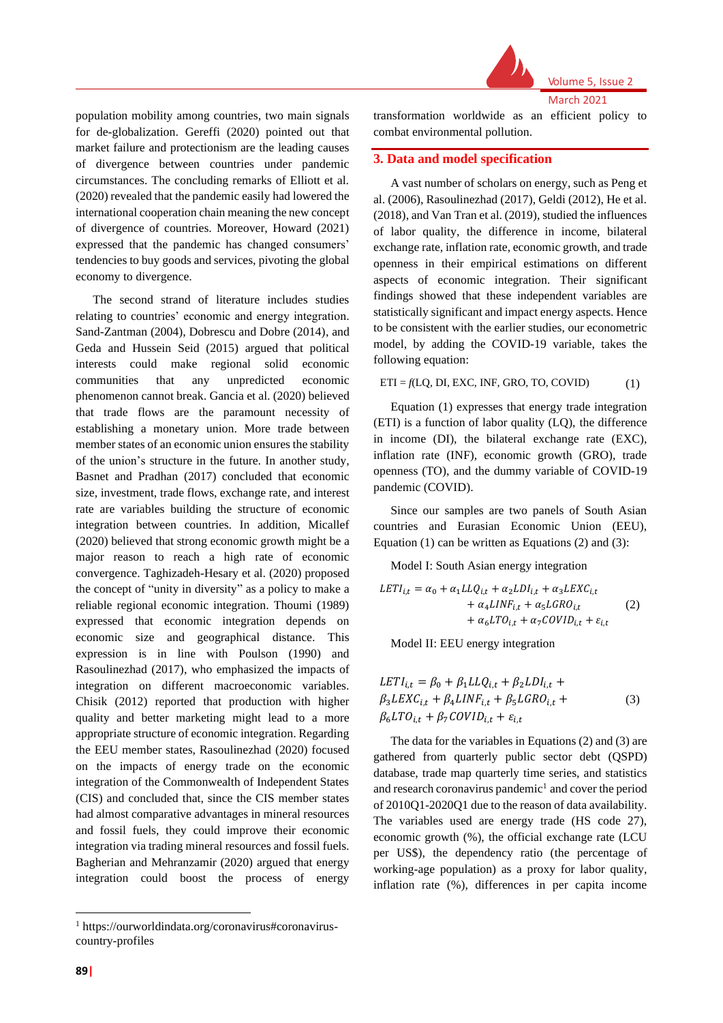

March 2021

Volume 5, Issue 2

population mobility among countries, two main signals for de-globalization. Gereffi (2020) pointed out that market failure and protectionism are the leading causes of divergence between countries under pandemic circumstances. The concluding remarks of Elliott et al. (2020) revealed that the pandemic easily had lowered the international cooperation chain meaning the new concept of divergence of countries. Moreover, Howard (2021) expressed that the pandemic has changed consumers' tendencies to buy goods and services, pivoting the global economy to divergence.

The second strand of literature includes studies relating to countries' economic and energy integration. Sand-Zantman (2004), Dobrescu and Dobre (2014), and Geda and Hussein Seid (2015) argued that political interests could make regional solid economic communities that any unpredicted economic phenomenon cannot break. Gancia et al. (2020) believed that trade flows are the paramount necessity of establishing a monetary union. More trade between member states of an economic union ensures the stability of the union's structure in the future. In another study, Basnet and Pradhan (2017) concluded that economic size, investment, trade flows, exchange rate, and interest rate are variables building the structure of economic integration between countries. In addition, Micallef (2020) believed that strong economic growth might be a major reason to reach a high rate of economic convergence. Taghizadeh-Hesary et al. (2020) proposed the concept of "unity in diversity" as a policy to make a reliable regional economic integration. Thoumi (1989) expressed that economic integration depends on economic size and geographical distance. This expression is in line with Poulson (1990) and Rasoulinezhad (2017), who emphasized the impacts of integration on different macroeconomic variables. Chisik (2012) reported that production with higher quality and better marketing might lead to a more appropriate structure of economic integration. Regarding the EEU member states, Rasoulinezhad (2020) focused on the impacts of energy trade on the economic integration of the Commonwealth of Independent States (CIS) and concluded that, since the CIS member states had almost comparative advantages in mineral resources and fossil fuels, they could improve their economic integration via trading mineral resources and fossil fuels. Bagherian and Mehranzamir (2020) argued that energy integration could boost the process of energy

transformation worldwide as an efficient policy to combat environmental pollution.

#### **3. Data and model specification**

A vast number of scholars on energy, such as Peng et al. (2006), Rasoulinezhad (2017), Geldi (2012), He et al. (2018), and Van Tran et al. (2019), studied the influences of labor quality, the difference in income, bilateral exchange rate, inflation rate, economic growth, and trade openness in their empirical estimations on different aspects of economic integration. Their significant findings showed that these independent variables are statistically significant and impact energy aspects. Hence to be consistent with the earlier studies, our econometric model, by adding the COVID-19 variable, takes the following equation:

#### $ETI = f(LQ, DI, EXC, INF, GRO, TO, COVID)$  (1)

Equation (1) expresses that energy trade integration (ETI) is a function of labor quality (LQ), the difference in income (DI), the bilateral exchange rate (EXC), inflation rate (INF), economic growth (GRO), trade openness (TO), and the dummy variable of COVID-19 pandemic (COVID).

Since our samples are two panels of South Asian countries and Eurasian Economic Union (EEU), Equation  $(1)$  can be written as Equations  $(2)$  and  $(3)$ :

Model I: South Asian energy integration

$$
LETI_{i,t} = \alpha_0 + \alpha_1 LLQ_{i,t} + \alpha_2 LDI_{i,t} + \alpha_3 LEXC_{i,t}
$$
  
+  $\alpha_4 LINF_{i,t} + \alpha_5 LGRO_{i,t}$   
+  $\alpha_6 LTO_{i,t} + \alpha_7 COVID_{i,t} + \varepsilon_{i,t}$  (2)

Model II: EEU energy integration

$$
LET I_{i,t} = \beta_0 + \beta_1 LLQ_{i,t} + \beta_2 LDI_{i,t} +
$$
  
\n
$$
\beta_3 LEXC_{i,t} + \beta_4 LINF_{i,t} + \beta_5 LGRO_{i,t} +
$$
  
\n
$$
\beta_6 LTO_{i,t} + \beta_7 COVID_{i,t} + \varepsilon_{i,t}
$$
\n(3)

The data for the variables in Equations (2) and (3) are gathered from quarterly public sector debt (QSPD) database, trade map quarterly time series, and statistics and research coronavirus pandemic<sup>1</sup> and cover the period of 2010Q1-2020Q1 due to the reason of data availability. The variables used are energy trade (HS code 27), economic growth (%), the official exchange rate (LCU per US\$), the dependency ratio (the percentage of working-age population) as a proxy for labor quality, inflation rate (%), differences in per capita income

<sup>1</sup> https://ourworldindata.org/coronavirus#coronaviruscountry-profiles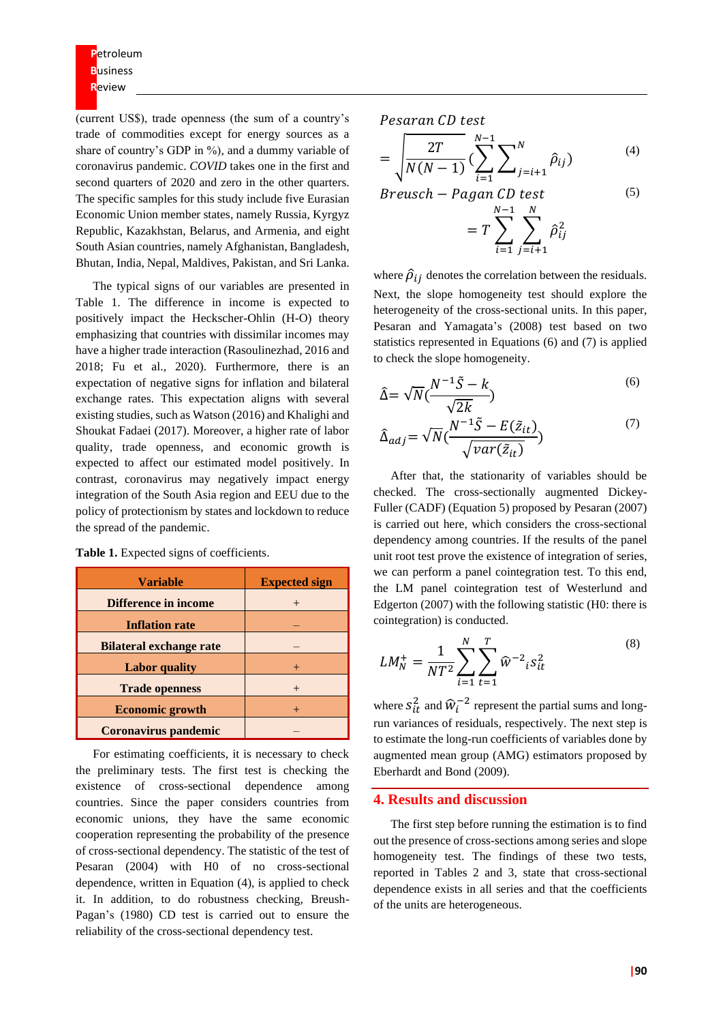**P**etroleum **B**usiness **R**eview

(current US\$), trade openness (the sum of a country's trade of commodities except for energy sources as a share of country's GDP in %), and a dummy variable of coronavirus pandemic. *COVID* takes one in the first and second quarters of 2020 and zero in the other quarters. The specific samples for this study include five Eurasian Economic Union member states, namely Russia, Kyrgyz Republic, Kazakhstan, Belarus, and Armenia, and eight South Asian countries, namely Afghanistan, Bangladesh, Bhutan, India, Nepal, Maldives, Pakistan, and Sri Lanka.

The typical signs of our variables are presented in Table 1. The difference in income is expected to positively impact the Heckscher-Ohlin (H-O) theory emphasizing that countries with dissimilar incomes may have a higher trade interaction (Rasoulinezhad, 2016 and 2018; Fu et al., 2020). Furthermore, there is an expectation of negative signs for inflation and bilateral exchange rates. This expectation aligns with several existing studies, such as Watson (2016) and Khalighi and Shoukat Fadaei (2017). Moreover, a higher rate of labor quality, trade openness, and economic growth is expected to affect our estimated model positively. In contrast, coronavirus may negatively impact energy integration of the South Asia region and EEU due to the policy of protectionism by states and lockdown to reduce the spread of the pandemic.

| <b>Variable</b>                | <b>Expected sign</b> |
|--------------------------------|----------------------|
| <b>Difference in income</b>    | $^{+}$               |
| <b>Inflation rate</b>          |                      |
| <b>Bilateral exchange rate</b> |                      |
| <b>Labor</b> quality           |                      |
| <b>Trade openness</b>          | $^{+}$               |
| <b>Economic growth</b>         |                      |
| Coronavirus pandemic           |                      |

**Table 1.** Expected signs of coefficients.

For estimating coefficients, it is necessary to check the preliminary tests. The first test is checking the existence of cross-sectional dependence among countries. Since the paper considers countries from economic unions, they have the same economic cooperation representing the probability of the presence of cross-sectional dependency. The statistic of the test of Pesaran (2004) with H0 of no cross-sectional dependence, written in Equation (4), is applied to check it. In addition, to do robustness checking, Breush-Pagan's (1980) CD test is carried out to ensure the reliability of the cross-sectional dependency test.

Pesaran CD test

$$
= \sqrt{\frac{2T}{N(N-1)}} \left(\sum_{i=1}^{N-1} \sum_{j=i+1}^{N} \hat{\rho}_{ij}\right)
$$
 (4)

$$
Breusch - Pagan CD test
$$
\n
$$
= T \sum_{i=1}^{N-1} \sum_{j=i+1}^{N} \hat{\rho}_{ij}^{2}
$$
\n
$$
(5)
$$

where  $\hat{\rho}_{ij}$  denotes the correlation between the residuals. Next, the slope homogeneity test should explore the heterogeneity of the cross-sectional units. In this paper, Pesaran and Yamagata's (2008) test based on two statistics represented in Equations (6) and (7) is applied to check the slope homogeneity.

$$
\hat{\Delta} = \sqrt{N} \left( \frac{N^{-1}\tilde{S} - k}{\sqrt{2k}} \right) \tag{6}
$$

$$
\hat{\Delta}_{adj} = \sqrt{N} \left( \frac{N^{-1}\tilde{S} - E(\tilde{z}_{it})}{\sqrt{var(\tilde{z}_{it})}} \right)
$$
\n(7)

After that, the stationarity of variables should be checked. The cross-sectionally augmented Dickey-Fuller (CADF) (Equation 5) proposed by Pesaran (2007) is carried out here, which considers the cross-sectional dependency among countries. If the results of the panel unit root test prove the existence of integration of series, we can perform a panel cointegration test. To this end, the LM panel cointegration test of Westerlund and Edgerton (2007) with the following statistic (H0: there is cointegration) is conducted.

$$
LM_N^+ = \frac{1}{NT^2} \sum_{i=1}^N \sum_{t=1}^T \widehat{w}^{-2}{}_i s_{it}^2
$$
 (8)

where  $S_{it}^2$  and  $\hat{W}_i^{-2}$  represent the partial sums and longrun variances of residuals, respectively. The next step is to estimate the long-run coefficients of variables done by augmented mean group (AMG) estimators proposed by Eberhardt and Bond (2009).

#### **4. Results and discussion**

The first step before running the estimation is to find out the presence of cross-sections among series and slope homogeneity test. The findings of these two tests, reported in Tables 2 and 3, state that cross-sectional dependence exists in all series and that the coefficients of the units are heterogeneous.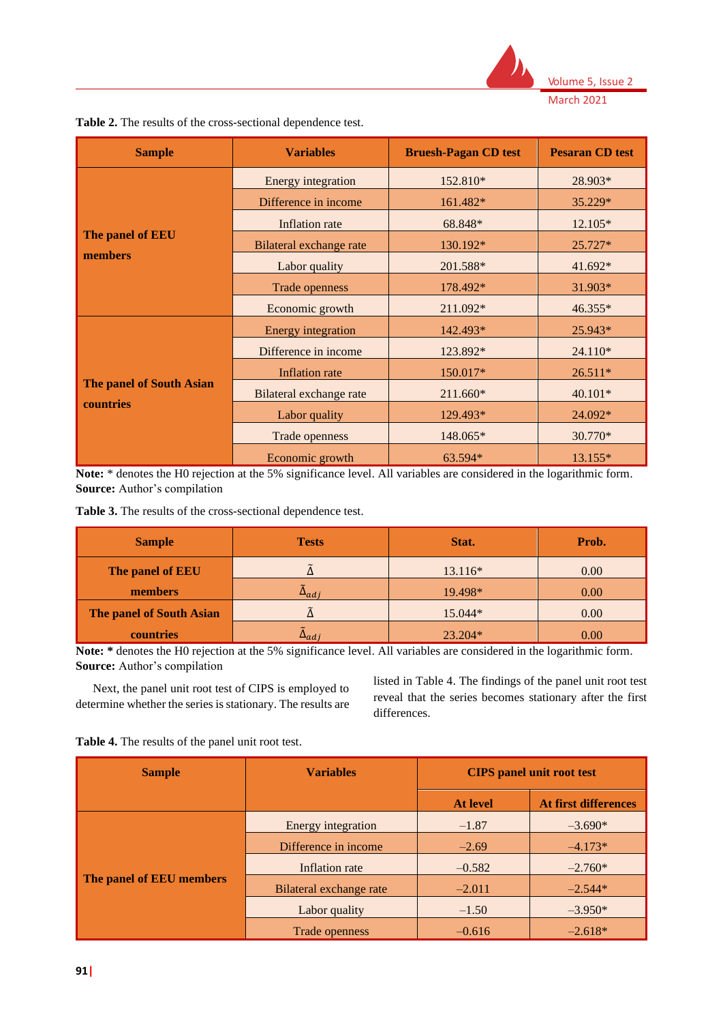

| Table 2. The results of the cross-sectional dependence test. |  |
|--------------------------------------------------------------|--|
|--------------------------------------------------------------|--|

| <b>Sample</b>                   | <b>Variables</b>          | <b>Bruesh-Pagan CD test</b> | <b>Pesaran CD</b> test |  |
|---------------------------------|---------------------------|-----------------------------|------------------------|--|
|                                 | Energy integration        | 152.810*                    | 28.903*                |  |
|                                 | Difference in income      | 161.482*                    | 35.229*                |  |
|                                 | Inflation rate            | 68.848*                     | 12.105*                |  |
| The panel of EEU                | Bilateral exchange rate   | 130.192*                    | $25.727*$              |  |
| members                         | Labor quality             | 201.588*                    | 41.692*                |  |
|                                 | Trade openness            | 178.492*                    | 31.903*                |  |
|                                 | Economic growth           | 211.092*                    | 46.355*                |  |
|                                 | <b>Energy</b> integration | 142.493*                    | 25.943*                |  |
|                                 | Difference in income      | 123.892*                    | $24.110*$              |  |
|                                 | <b>Inflation</b> rate     | 150.017*                    | 26.511*                |  |
| <b>The panel of South Asian</b> | Bilateral exchange rate   | 211.660*                    | $40.101*$              |  |
| countries                       | Labor quality             | 129.493*                    | 24.092*                |  |
|                                 | Trade openness            | 148.065*                    | 30.770*                |  |
|                                 | Economic growth           | 63.594*                     | 13.155*                |  |

**Note:** \* denotes the H0 rejection at the 5% significance level. All variables are considered in the logarithmic form. **Source:** Author's compilation

| Table 3. The results of the cross-sectional dependence test. |  |  |
|--------------------------------------------------------------|--|--|
|--------------------------------------------------------------|--|--|

| <b>Sample</b>                   | <b>Tests</b>   | Stat.     | Prob. |  |
|---------------------------------|----------------|-----------|-------|--|
| The panel of EEU                |                | 13.116*   | 0.00  |  |
| members                         | $\Delta_{adj}$ | 19.498*   | 0.00  |  |
| <b>The panel of South Asian</b> |                | 15.044*   | 0.00  |  |
| countries                       | $\Delta_{adj}$ | $23.204*$ | 0.00  |  |

**Note: \*** denotes the H0 rejection at the 5% significance level. All variables are considered in the logarithmic form. **Source:** Author's compilation

Next, the panel unit root test of CIPS is employed to determine whether the series is stationary. The results are listed in Table 4. The findings of the panel unit root test reveal that the series becomes stationary after the first differences.

**Table 4.** The results of the panel unit root test.

| <b>Sample</b>            | <b>Variables</b>        | <b>CIPS</b> panel unit root test |                      |
|--------------------------|-------------------------|----------------------------------|----------------------|
|                          |                         | <b>At level</b>                  | At first differences |
| The panel of EEU members | Energy integration      | $-1.87$                          | $-3.690*$            |
|                          | Difference in income    | $-2.69$                          | $-4.173*$            |
|                          | Inflation rate          | $-0.582$                         | $-2.760*$            |
|                          | Bilateral exchange rate | $-2.011$                         | $-2.544*$            |
|                          | Labor quality           | $-1.50$                          | $-3.950*$            |
|                          | Trade openness          | $-0.616$                         | $-2.618*$            |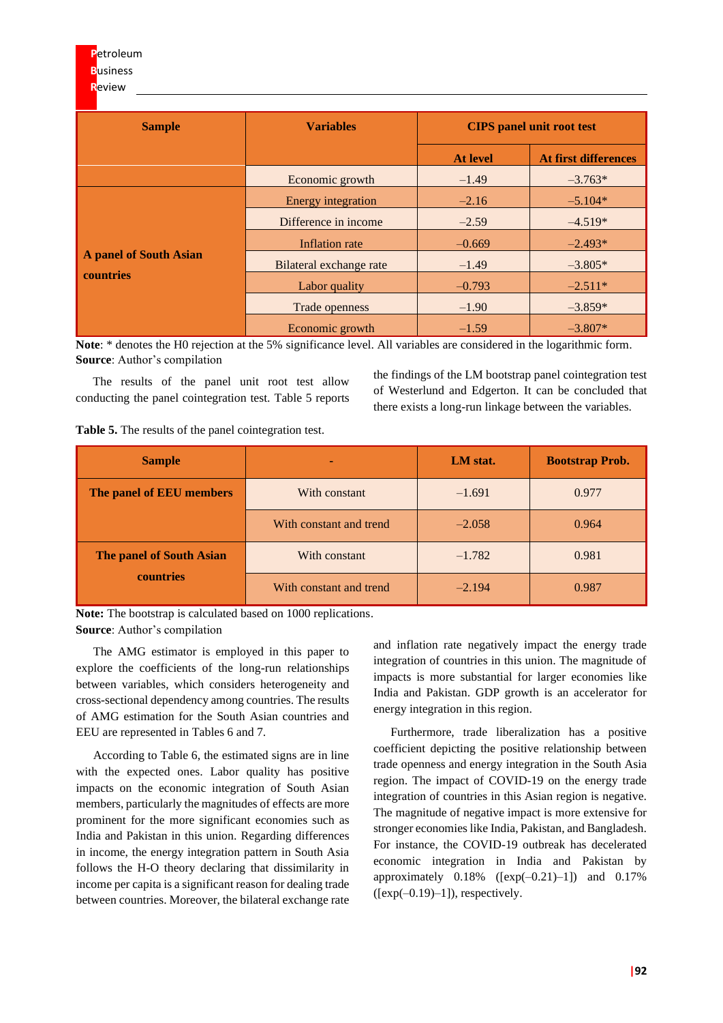| <b>Sample</b>                                     | <b>Variables</b>          | <b>CIPS</b> panel unit root test               |           |  |
|---------------------------------------------------|---------------------------|------------------------------------------------|-----------|--|
|                                                   |                           | <b>At first differences</b><br><b>At level</b> |           |  |
|                                                   | Economic growth           | $-1.49$                                        | $-3.763*$ |  |
|                                                   | <b>Energy</b> integration | $-2.16$                                        | $-5.104*$ |  |
|                                                   | Difference in income      | $-2.59$                                        | $-4.519*$ |  |
|                                                   | Inflation rate            | $-0.669$                                       | $-2.493*$ |  |
| <b>A panel of South Asian</b><br><b>countries</b> | Bilateral exchange rate   | $-1.49$                                        | $-3.805*$ |  |
|                                                   | Labor quality             | $-0.793$                                       | $-2.511*$ |  |
|                                                   | Trade openness            | $-1.90$                                        | $-3.859*$ |  |
|                                                   | Economic growth           | $-1.59$                                        | $-3.807*$ |  |

**Note**: \* denotes the H0 rejection at the 5% significance level. All variables are considered in the logarithmic form. **Source**: Author's compilation

The results of the panel unit root test allow conducting the panel cointegration test. Table 5 reports the findings of the LM bootstrap panel cointegration test of Westerlund and Edgerton. It can be concluded that there exists a long-run linkage between the variables.

| Table 5. The results of the panel cointegration test. |  |
|-------------------------------------------------------|--|
|-------------------------------------------------------|--|

| <b>Sample</b>                   |                         | LM stat. | <b>Bootstrap Prob.</b> |  |
|---------------------------------|-------------------------|----------|------------------------|--|
| The panel of EEU members        | With constant           | $-1.691$ | 0.977                  |  |
|                                 | With constant and trend | $-2.058$ | 0.964                  |  |
| <b>The panel of South Asian</b> | With constant           | $-1.782$ | 0.981                  |  |
| countries                       | With constant and trend | $-2.194$ | 0.987                  |  |

**Note:** The bootstrap is calculated based on 1000 replications. **Source**: Author's compilation

The AMG estimator is employed in this paper to explore the coefficients of the long-run relationships between variables, which considers heterogeneity and cross-sectional dependency among countries. The results of AMG estimation for the South Asian countries and EEU are represented in Tables 6 and 7.

According to Table 6, the estimated signs are in line with the expected ones. Labor quality has positive impacts on the economic integration of South Asian members, particularly the magnitudes of effects are more prominent for the more significant economies such as India and Pakistan in this union. Regarding differences in income, the energy integration pattern in South Asia follows the H-O theory declaring that dissimilarity in income per capita is a significant reason for dealing trade between countries. Moreover, the bilateral exchange rate and inflation rate negatively impact the energy trade integration of countries in this union. The magnitude of impacts is more substantial for larger economies like India and Pakistan. GDP growth is an accelerator for energy integration in this region.

Furthermore, trade liberalization has a positive coefficient depicting the positive relationship between trade openness and energy integration in the South Asia region. The impact of COVID-19 on the energy trade integration of countries in this Asian region is negative. The magnitude of negative impact is more extensive for stronger economies like India, Pakistan, and Bangladesh. For instance, the COVID-19 outbreak has decelerated economic integration in India and Pakistan by approximately  $0.18\%$  ([ $exp(-0.21)$ -1]) and  $0.17\%$  $([exp(-0.19)-1])$ , respectively.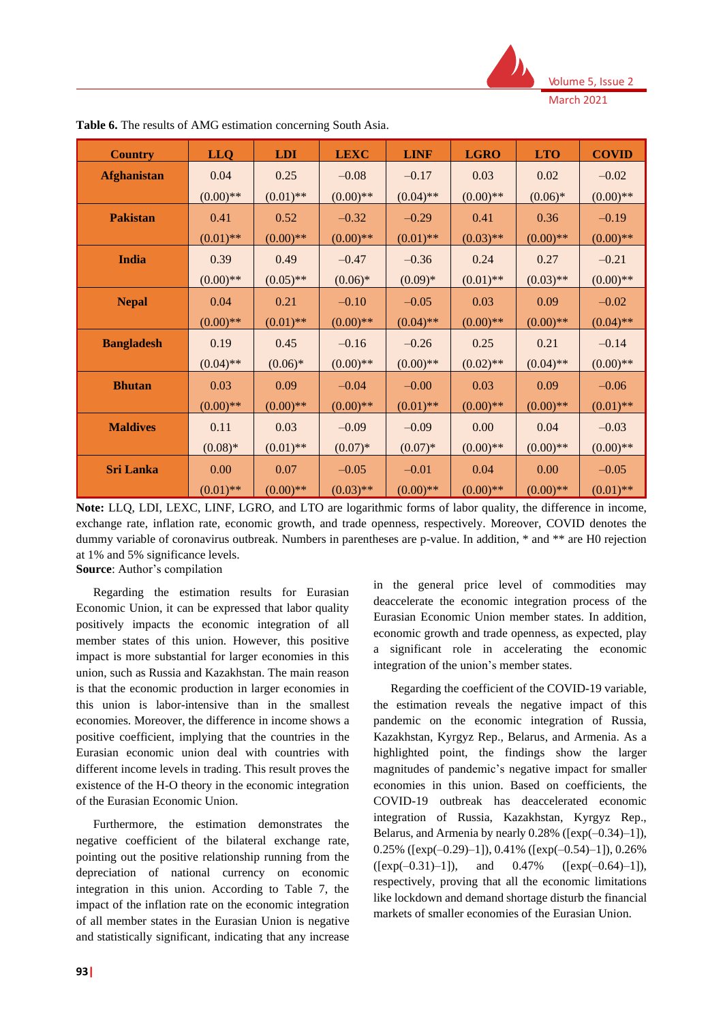

| <b>Country</b>     | <b>LLQ</b>  | <b>LDI</b>  | <b>LEXC</b> | <b>LINF</b> | <b>LGRO</b> | <b>LTO</b>  | <b>COVID</b> |
|--------------------|-------------|-------------|-------------|-------------|-------------|-------------|--------------|
| <b>Afghanistan</b> | 0.04        | 0.25        | $-0.08$     | $-0.17$     | 0.03        | 0.02        | $-0.02$      |
|                    | $(0.00)$ ** | $(0.01)$ ** | $(0.00)$ ** | $(0.04)$ ** | $(0.00)$ ** | $(0.06)*$   | $(0.00)$ **  |
| <b>Pakistan</b>    | 0.41        | 0.52        | $-0.32$     | $-0.29$     | 0.41        | 0.36        | $-0.19$      |
|                    | $(0.01)$ ** | $(0.00)$ ** | $(0.00)$ ** | $(0.01)$ ** | $(0.03)$ ** | $(0.00)$ ** | $(0.00)$ **  |
| <b>India</b>       | 0.39        | 0.49        | $-0.47$     | $-0.36$     | 0.24        | 0.27        | $-0.21$      |
|                    | $(0.00)$ ** | $(0.05)$ ** | $(0.06)*$   | $(0.09)*$   | $(0.01)$ ** | $(0.03)$ ** | $(0.00)$ **  |
| <b>Nepal</b>       | 0.04        | 0.21        | $-0.10$     | $-0.05$     | 0.03        | 0.09        | $-0.02$      |
|                    | $(0.00)$ ** | $(0.01)$ ** | $(0.00)$ ** | $(0.04)$ ** | $(0.00)$ ** | $(0.00)**$  | $(0.04)$ **  |
| <b>Bangladesh</b>  | 0.19        | 0.45        | $-0.16$     | $-0.26$     | 0.25        | 0.21        | $-0.14$      |
|                    | $(0.04)$ ** | $(0.06)*$   | $(0.00)$ ** | $(0.00)$ ** | $(0.02)$ ** | $(0.04)$ ** | $(0.00)$ **  |
| <b>Bhutan</b>      | 0.03        | 0.09        | $-0.04$     | $-0.00$     | 0.03        | 0.09        | $-0.06$      |
|                    | $(0.00)**$  | $(0.00)$ ** | $(0.00)$ ** | $(0.01)$ ** | $(0.00)$ ** | $(0.00)$ ** | $(0.01)$ **  |
| <b>Maldives</b>    | 0.11        | 0.03        | $-0.09$     | $-0.09$     | 0.00        | 0.04        | $-0.03$      |
|                    | $(0.08)*$   | $(0.01)$ ** | $(0.07)*$   | $(0.07)*$   | $(0.00)$ ** | $(0.00)$ ** | $(0.00)$ **  |
| <b>Sri Lanka</b>   | 0.00        | 0.07        | $-0.05$     | $-0.01$     | 0.04        | 0.00        | $-0.05$      |
|                    | $(0.01)$ ** | $(0.00)$ ** | $(0.03)$ ** | $(0.00)$ ** | $(0.00)$ ** | $(0.00)$ ** | $(0.01)$ **  |

**Table 6.** The results of AMG estimation concerning South Asia.

**Note:** LLQ, LDI, LEXC, LINF, LGRO, and LTO are logarithmic forms of labor quality, the difference in income, exchange rate, inflation rate, economic growth, and trade openness, respectively. Moreover, COVID denotes the dummy variable of coronavirus outbreak. Numbers in parentheses are p-value. In addition, \* and \*\* are H0 rejection at 1% and 5% significance levels. **Source**: Author's compilation

Regarding the estimation results for Eurasian Economic Union, it can be expressed that labor quality positively impacts the economic integration of all member states of this union. However, this positive impact is more substantial for larger economies in this union, such as Russia and Kazakhstan. The main reason is that the economic production in larger economies in this union is labor-intensive than in the smallest economies. Moreover, the difference in income shows a positive coefficient, implying that the countries in the Eurasian economic union deal with countries with different income levels in trading. This result proves the existence of the H-O theory in the economic integration of the Eurasian Economic Union.

Furthermore, the estimation demonstrates the negative coefficient of the bilateral exchange rate, pointing out the positive relationship running from the depreciation of national currency on economic integration in this union. According to Table 7, the impact of the inflation rate on the economic integration of all member states in the Eurasian Union is negative and statistically significant, indicating that any increase

in the general price level of commodities may deaccelerate the economic integration process of the Eurasian Economic Union member states. In addition, economic growth and trade openness, as expected, play a significant role in accelerating the economic integration of the union's member states.

Regarding the coefficient of the COVID-19 variable, the estimation reveals the negative impact of this pandemic on the economic integration of Russia, Kazakhstan, Kyrgyz Rep., Belarus, and Armenia. As a highlighted point, the findings show the larger magnitudes of pandemic's negative impact for smaller economies in this union. Based on coefficients, the COVID-19 outbreak has deaccelerated economic integration of Russia, Kazakhstan, Kyrgyz Rep., Belarus, and Armenia by nearly  $0.28\%$  ([exp(-0.34)-1]), 0.25% ( $[\exp(-0.29)-1]$ ), 0.41% ( $[\exp(-0.54)-1]$ ), 0.26%  $([exp(-0.31)-1]),$  and  $0.47\%$   $([exp(-0.64)-1]),$ respectively, proving that all the economic limitations like lockdown and demand shortage disturb the financial markets of smaller economies of the Eurasian Union.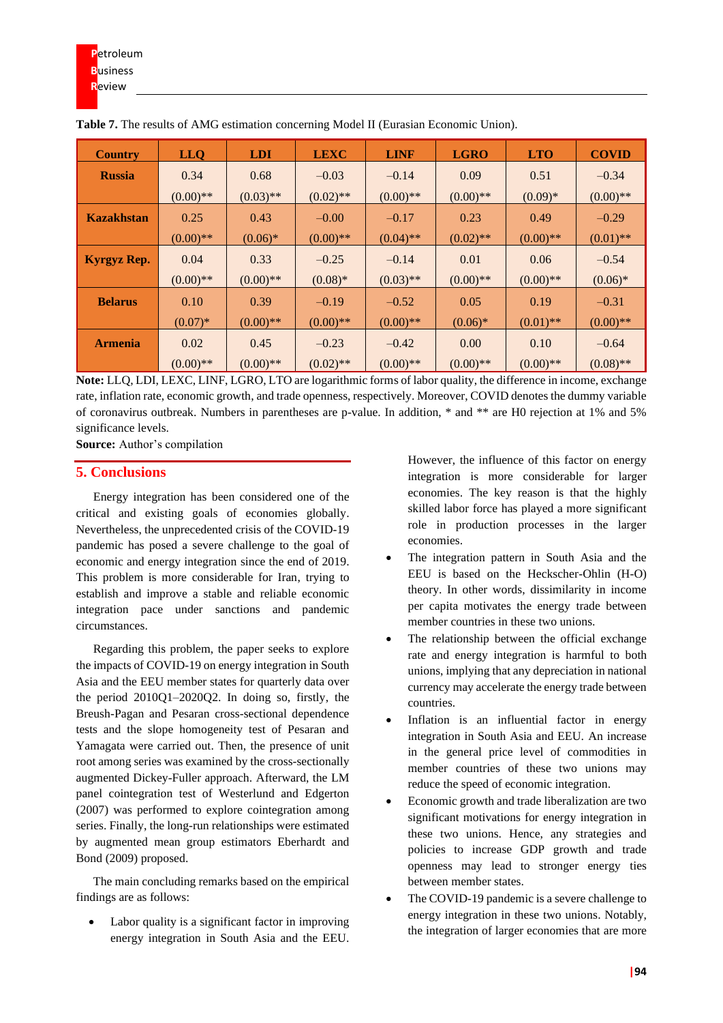| <b>Country</b>     | <b>LLQ</b>  | <b>LDI</b>  | <b>LEXC</b> | <b>LINF</b> | <b>LGRO</b> | <b>LTO</b>  | <b>COVID</b> |
|--------------------|-------------|-------------|-------------|-------------|-------------|-------------|--------------|
| <b>Russia</b>      | 0.34        | 0.68        | $-0.03$     | $-0.14$     | 0.09        | 0.51        | $-0.34$      |
|                    | $(0.00)$ ** | $(0.03)$ ** | $(0.02)$ ** | $(0.00)$ ** | $(0.00)$ ** | $(0.09)*$   | $(0.00)$ **  |
| <b>Kazakhstan</b>  | 0.25        | 0.43        | $-0.00$     | $-0.17$     | 0.23        | 0.49        | $-0.29$      |
|                    | $(0.00)$ ** | $(0.06)*$   | $(0.00)$ ** | $(0.04)$ ** | $(0.02)$ ** | $(0.00)$ ** | $(0.01)$ **  |
| <b>Kyrgyz Rep.</b> | 0.04        | 0.33        | $-0.25$     | $-0.14$     | 0.01        | 0.06        | $-0.54$      |
|                    | $(0.00)$ ** | $(0.00)$ ** | $(0.08)*$   | $(0.03)$ ** | $(0.00)$ ** | $(0.00)$ ** | $(0.06)*$    |
| <b>Belarus</b>     | 0.10        | 0.39        | $-0.19$     | $-0.52$     | 0.05        | 0.19        | $-0.31$      |
|                    | $(0.07)*$   | $(0.00)$ ** | $(0.00)$ ** | $(0.00)$ ** | $(0.06)*$   | $(0.01)$ ** | $(0.00)$ **  |
| <b>Armenia</b>     | 0.02        | 0.45        | $-0.23$     | $-0.42$     | 0.00        | 0.10        | $-0.64$      |
|                    | $(0.00)**$  | $(0.00)$ ** | $(0.02)$ ** | $(0.00)$ ** | $(0.00)**$  | $(0.00)$ ** | $(0.08)$ **  |

**Table 7.** The results of AMG estimation concerning Model II (Eurasian Economic Union).

**Note:** LLQ, LDI, LEXC, LINF, LGRO, LTO are logarithmic forms of labor quality, the difference in income, exchange rate, inflation rate, economic growth, and trade openness, respectively. Moreover, COVID denotes the dummy variable of coronavirus outbreak. Numbers in parentheses are p-value. In addition, \* and \*\* are H0 rejection at 1% and 5% significance levels.

**Source:** Author's compilation

### **5. Conclusions**

Energy integration has been considered one of the critical and existing goals of economies globally. Nevertheless, the unprecedented crisis of the COVID-19 pandemic has posed a severe challenge to the goal of economic and energy integration since the end of 2019. This problem is more considerable for Iran, trying to establish and improve a stable and reliable economic integration pace under sanctions and pandemic circumstances.

Regarding this problem, the paper seeks to explore the impacts of COVID-19 on energy integration in South Asia and the EEU member states for quarterly data over the period 2010Q1–2020Q2. In doing so, firstly, the Breush-Pagan and Pesaran cross-sectional dependence tests and the slope homogeneity test of Pesaran and Yamagata were carried out. Then, the presence of unit root among series was examined by the cross-sectionally augmented Dickey-Fuller approach. Afterward, the LM panel cointegration test of Westerlund and Edgerton (2007) was performed to explore cointegration among series. Finally, the long-run relationships were estimated by augmented mean group estimators Eberhardt and Bond (2009) proposed.

The main concluding remarks based on the empirical findings are as follows:

Labor quality is a significant factor in improving energy integration in South Asia and the EEU. However, the influence of this factor on energy integration is more considerable for larger economies. The key reason is that the highly skilled labor force has played a more significant role in production processes in the larger economies.

- The integration pattern in South Asia and the EEU is based on the Heckscher-Ohlin (H-O) theory. In other words, dissimilarity in income per capita motivates the energy trade between member countries in these two unions.
- The relationship between the official exchange rate and energy integration is harmful to both unions, implying that any depreciation in national currency may accelerate the energy trade between countries.
- Inflation is an influential factor in energy integration in South Asia and EEU. An increase in the general price level of commodities in member countries of these two unions may reduce the speed of economic integration.
- Economic growth and trade liberalization are two significant motivations for energy integration in these two unions. Hence, any strategies and policies to increase GDP growth and trade openness may lead to stronger energy ties between member states.
- The COVID-19 pandemic is a severe challenge to energy integration in these two unions. Notably, the integration of larger economies that are more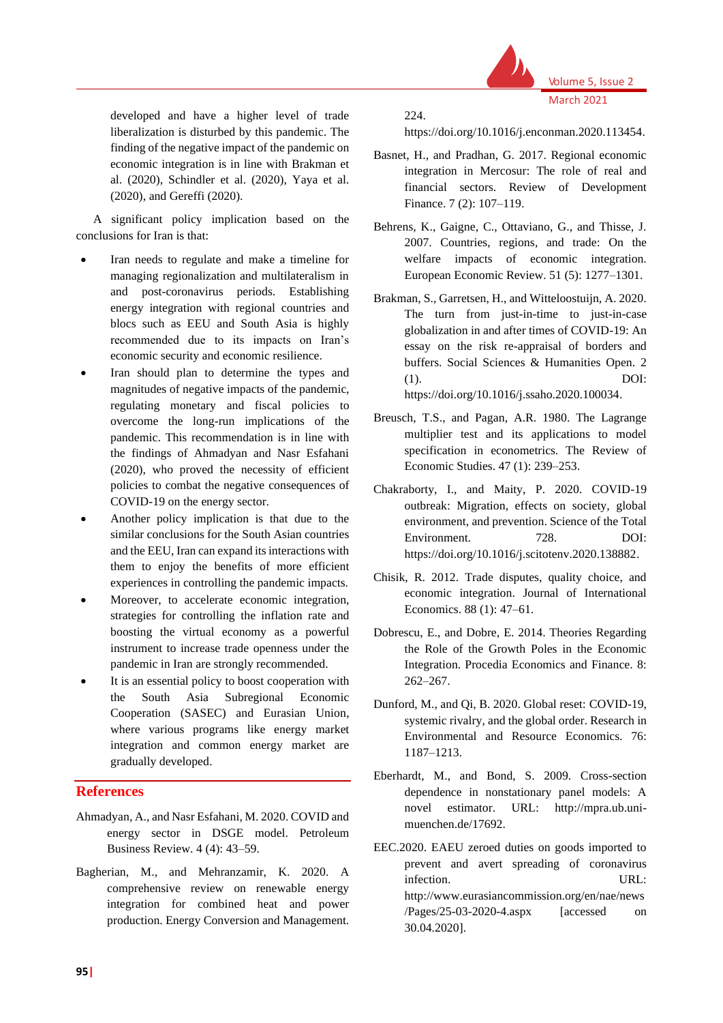

developed and have a higher level of trade liberalization is disturbed by this pandemic. The finding of the negative impact of the pandemic on economic integration is in line with Brakman et al. (2020), Schindler et al. (2020), Yaya et al. (2020), and Gereffi (2020).

A significant policy implication based on the conclusions for Iran is that:

- Iran needs to regulate and make a timeline for managing regionalization and multilateralism in and post-coronavirus periods. Establishing energy integration with regional countries and blocs such as EEU and South Asia is highly recommended due to its impacts on Iran's economic security and economic resilience.
- Iran should plan to determine the types and magnitudes of negative impacts of the pandemic, regulating monetary and fiscal policies to overcome the long-run implications of the pandemic. This recommendation is in line with the findings of Ahmadyan and Nasr Esfahani (2020), who proved the necessity of efficient policies to combat the negative consequences of COVID-19 on the energy sector.
- Another policy implication is that due to the similar conclusions for the South Asian countries and the EEU, Iran can expand its interactions with them to enjoy the benefits of more efficient experiences in controlling the pandemic impacts.
- Moreover, to accelerate economic integration, strategies for controlling the inflation rate and boosting the virtual economy as a powerful instrument to increase trade openness under the pandemic in Iran are strongly recommended.
- It is an essential policy to boost cooperation with the South Asia Subregional Economic Cooperation (SASEC) and Eurasian Union, where various programs like energy market integration and common energy market are gradually developed.

# **References**

- Ahmadyan, A., and Nasr Esfahani, M. 2020. COVID and energy sector in DSGE model. Petroleum Business Review. 4 (4): 43–59.
- Bagherian, M., and Mehranzamir, K. 2020. A comprehensive review on renewable energy integration for combined heat and power production. Energy Conversion and Management.

224.

https://doi.org/10.1016/j.enconman.2020.113454.

- Basnet, H., and Pradhan, G. 2017. Regional economic integration in Mercosur: The role of real and financial sectors. Review of Development Finance. 7 (2): 107–119.
- Behrens, K., Gaigne, C., Ottaviano, G., and Thisse, J. 2007. Countries, regions, and trade: On the welfare impacts of economic integration. European Economic Review. 51 (5): 1277–1301.
- Brakman, S., Garretsen, H., and Witteloostuijn, A. 2020. The turn from just-in-time to just-in-case globalization in and after times of COVID-19: An essay on the risk re-appraisal of borders and buffers. Social Sciences & Humanities Open. 2 (1). DOI: https://doi.org/10.1016/j.ssaho.2020.100034.
- Breusch, T.S., and Pagan, A.R. 1980. The Lagrange multiplier test and its applications to model specification in econometrics. The Review of Economic Studies. 47 (1): 239–253.
- Chakraborty, I., and Maity, P. 2020. COVID-19 outbreak: Migration, effects on society, global environment, and prevention. Science of the Total Environment. 728. DOI: https://doi.org/10.1016/j.scitotenv.2020.138882.
- Chisik, R. 2012. Trade disputes, quality choice, and economic integration. Journal of International Economics. 88 (1): 47–61.
- Dobrescu, E., and Dobre, E. 2014. Theories Regarding the Role of the Growth Poles in the Economic Integration. Procedia Economics and Finance. 8: 262–267.
- Dunford, M., and Qi, B. 2020. Global reset: COVID-19, systemic rivalry, and the global order. Research in Environmental and Resource Economics. 76: 1187–1213.
- Eberhardt, M., and Bond, S. 2009. Cross-section dependence in nonstationary panel models: A novel estimator. URL: http://mpra.ub.unimuenchen.de/17692.
- EEC.2020. EAEU zeroed duties on goods imported to prevent and avert spreading of coronavirus infection. URL: http://www.eurasiancommission.org/en/nae/news /Pages/25-03-2020-4.aspx [accessed on 30.04.2020].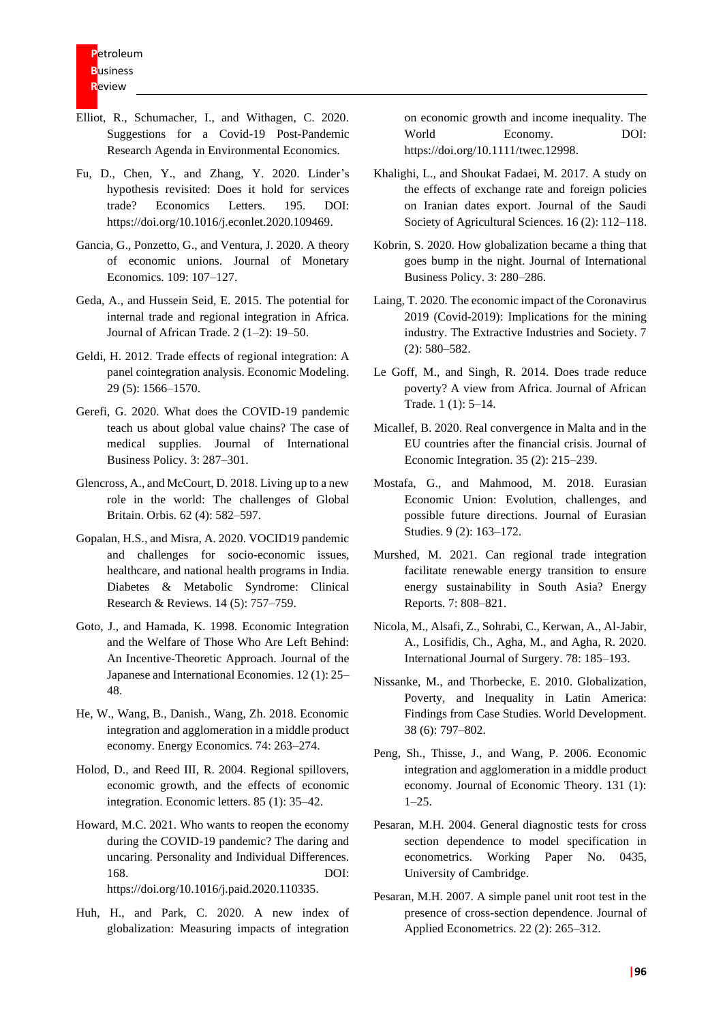- Elliot, R., Schumacher, I., and Withagen, C. 2020. Suggestions for a Covid-19 Post-Pandemic Research Agenda in Environmental Economics.
- Fu, D., Chen, Y., and Zhang, Y. 2020. Linder's hypothesis revisited: Does it hold for services trade? Economics Letters. 195. DOI: https://doi.org/10.1016/j.econlet.2020.109469.
- Gancia, G., Ponzetto, G., and Ventura, J. 2020. A theory of economic unions. Journal of Monetary Economics. 109: 107–127.
- Geda, A., and Hussein Seid, E. 2015. The potential for internal trade and regional integration in Africa. Journal of African Trade. 2 (1–2): 19–50.
- Geldi, H. 2012. Trade effects of regional integration: A panel cointegration analysis. Economic Modeling. 29 (5): 1566–1570.
- Gerefi, G. 2020. What does the COVID-19 pandemic teach us about global value chains? The case of medical supplies. Journal of International Business Policy. 3: 287–301.
- Glencross, A., and McCourt, D. 2018. Living up to a new role in the world: The challenges of Global Britain. Orbis. 62 (4): 582–597.
- Gopalan, H.S., and Misra, A. 2020. VOCID19 pandemic and challenges for socio-economic issues, healthcare, and national health programs in India. Diabetes & Metabolic Syndrome: Clinical Research & Reviews. 14 (5): 757–759.
- Goto, J., and Hamada, K. 1998. Economic Integration and the Welfare of Those Who Are Left Behind: An Incentive-Theoretic Approach. Journal of the Japanese and International Economies. 12 (1): 25– 48.
- He, W., Wang, B., Danish., Wang, Zh. 2018. Economic integration and agglomeration in a middle product economy. Energy Economics. 74: 263–274.
- Holod, D., and Reed III, R. 2004. Regional spillovers, economic growth, and the effects of economic integration. Economic letters. 85 (1): 35–42.
- Howard, M.C. 2021. Who wants to reopen the economy during the COVID-19 pandemic? The daring and uncaring. Personality and Individual Differences. 168. DOI: https://doi.org/10.1016/j.paid.2020.110335.
- Huh, H., and Park, C. 2020. A new index of globalization: Measuring impacts of integration

on economic growth and income inequality. The World Economy. DOI: https://doi.org/10.1111/twec.12998.

- Khalighi, L., and Shoukat Fadaei, M. 2017. A study on the effects of exchange rate and foreign policies on Iranian dates export. Journal of the Saudi Society of Agricultural Sciences. 16 (2): 112–118.
- Kobrin, S. 2020. How globalization became a thing that goes bump in the night. Journal of International Business Policy. 3: 280–286.
- Laing, T. 2020. The economic impact of the Coronavirus 2019 (Covid-2019): Implications for the mining industry. The Extractive Industries and Society. 7 (2): 580–582.
- Le Goff, M., and Singh, R. 2014. Does trade reduce poverty? A view from Africa. Journal of African Trade. 1 (1): 5–14.
- Micallef, B. 2020. Real convergence in Malta and in the EU countries after the financial crisis. Journal of Economic Integration. 35 (2): 215–239.
- Mostafa, G., and Mahmood, M. 2018. Eurasian Economic Union: Evolution, challenges, and possible future directions. Journal of Eurasian Studies. 9 (2): 163–172.
- Murshed, M. 2021. Can regional trade integration facilitate renewable energy transition to ensure energy sustainability in South Asia? Energy Reports. 7: 808–821.
- Nicola, M., Alsafi, Z., Sohrabi, C., Kerwan, A., Al-Jabir, A., Losifidis, Ch., Agha, M., and Agha, R. 2020. International Journal of Surgery. 78: 185–193.
- Nissanke, M., and Thorbecke, E. 2010. Globalization, Poverty, and Inequality in Latin America: Findings from Case Studies. World Development. 38 (6): 797–802.
- Peng, Sh., Thisse, J., and Wang, P. 2006. Economic integration and agglomeration in a middle product economy. Journal of Economic Theory. 131 (1):  $1-25.$
- Pesaran, M.H. 2004. General diagnostic tests for cross section dependence to model specification in econometrics. Working Paper No. 0435, University of Cambridge.
- Pesaran, M.H. 2007. A simple panel unit root test in the presence of cross-section dependence. Journal of Applied Econometrics. 22 (2): 265–312.